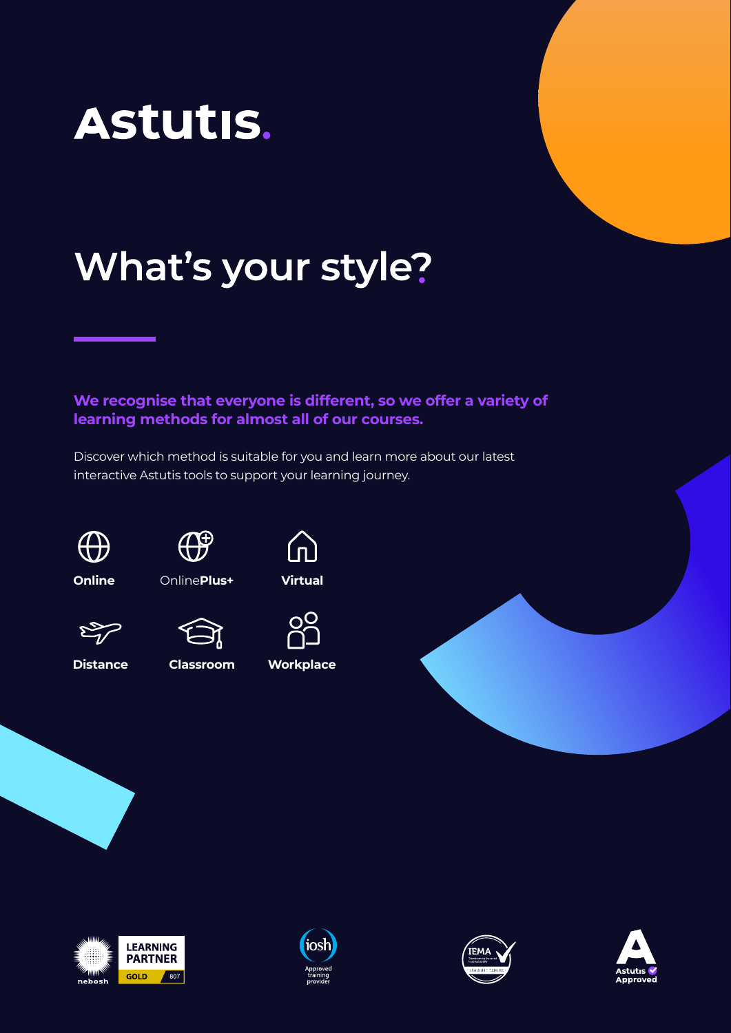

# What's your style?

**We recognise that everyone is different, so we offer a variety of learning methods for almost all of our courses.**

Discover which method is suitable for you and learn more about our latest interactive Astutis tools to support your learning journey.





**Online** Online**Plus+ Virtual**





**Distance Classroom Workplace**



 $20<sup>o</sup>$ 







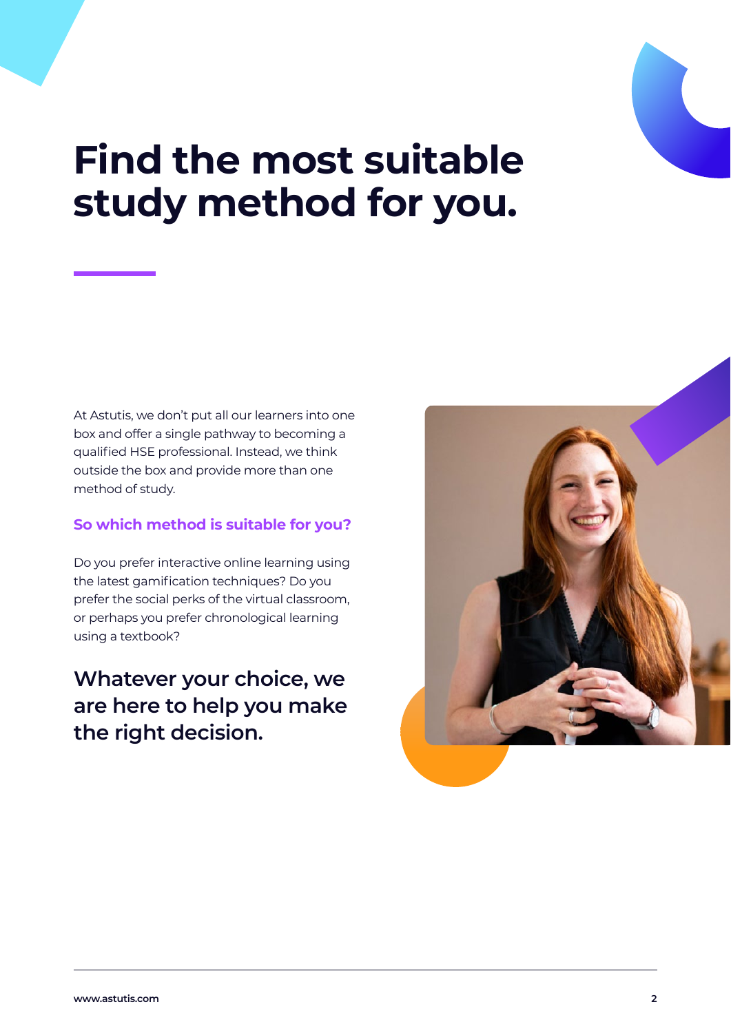

## **Find the most suitable study method for you.**

At Astutis, we don't put all our learners into one box and offer a single pathway to becoming a qualified HSE professional. Instead, we think outside the box and provide more than one method of study.

#### **So which method is suitable for you?**

Do you prefer interactive online learning using the latest gamification techniques? Do you prefer the social perks of the virtual classroom, or perhaps you prefer chronological learning using a textbook?

**Whatever your choice, we are here to help you make the right decision.**

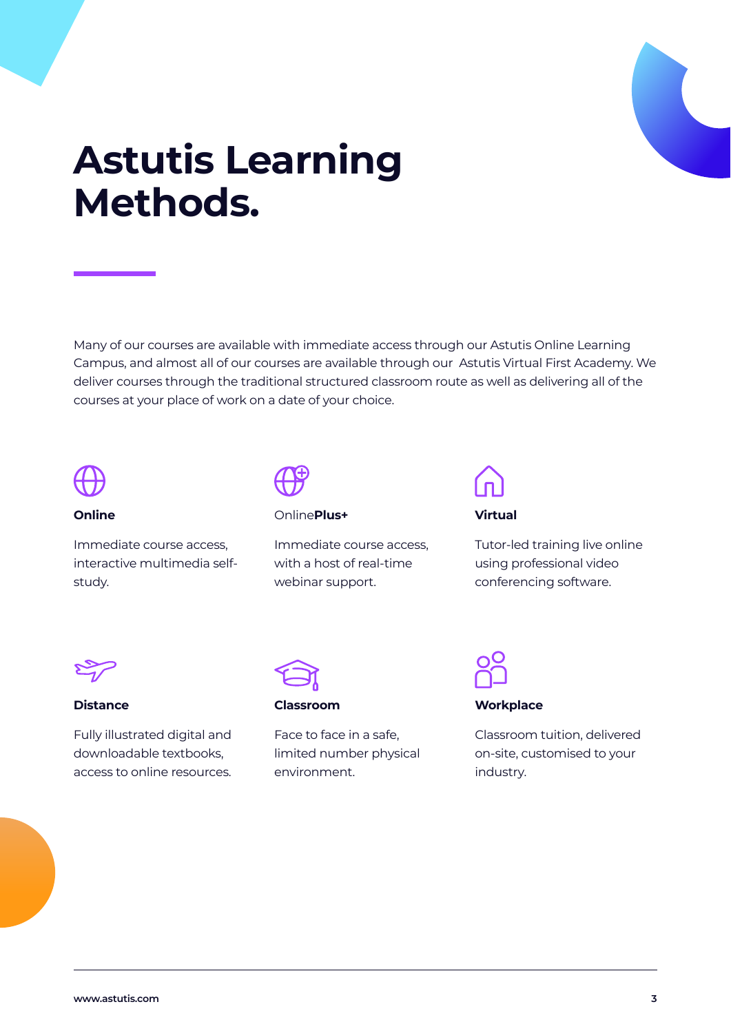

## **Astutis Learning Methods.**

Many of our courses are available with immediate access through our Astutis Online Learning Campus, and almost all of our courses are available through our Astutis Virtual First Academy. We deliver courses through the traditional structured classroom route as well as delivering all of the courses at your place of work on a date of your choice.



#### **Online**

Immediate course access, interactive multimedia selfstudy.

#### Online**Plus+**

Immediate course access, with a host of real-time webinar support.

#### **Virtual**

Tutor-led training live online using professional video conferencing software.



#### **Distance**

Fully illustrated digital and downloadable textbooks, access to online resources.



#### **Classroom**

Face to face in a safe, limited number physical environment.



#### **Workplace**

Classroom tuition, delivered on-site, customised to your industry.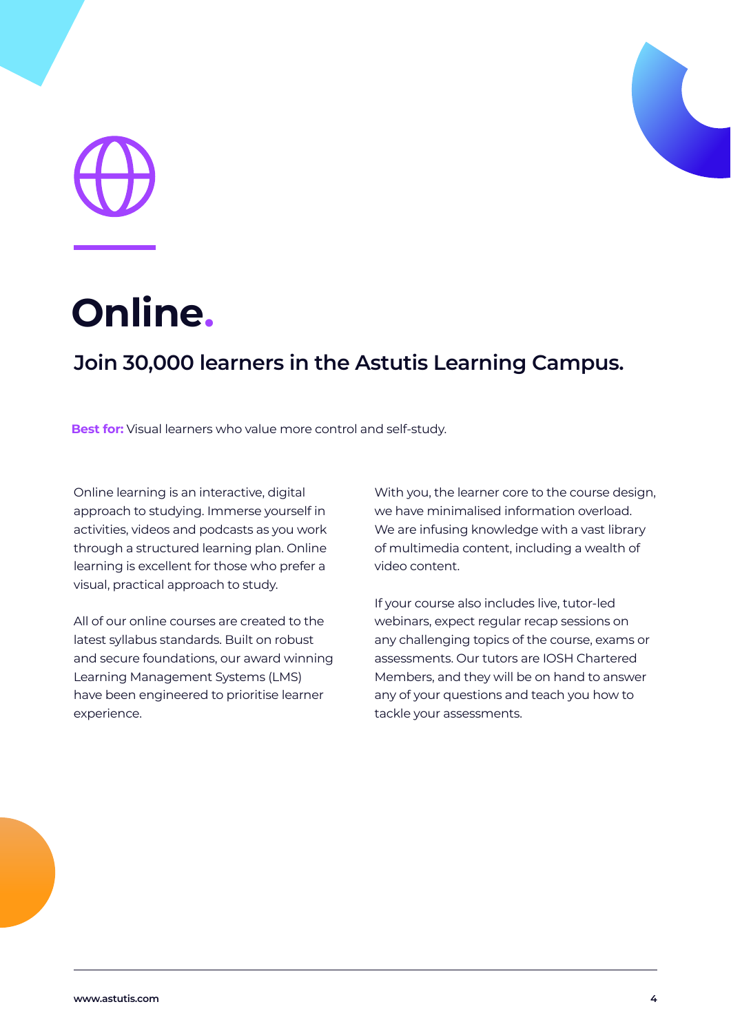

## **Online.**

## **Join 30,000 learners in the Astutis Learning Campus.**

**Best for:** Visual learners who value more control and self-study.

Online learning is an interactive, digital approach to studying. Immerse yourself in activities, videos and podcasts as you work through a structured learning plan. Online learning is excellent for those who prefer a visual, practical approach to study.

All of our online courses are created to the latest syllabus standards. Built on robust and secure foundations, our award winning Learning Management Systems (LMS) have been engineered to prioritise learner experience.

With you, the learner core to the course design, we have minimalised information overload. We are infusing knowledge with a vast library of multimedia content, including a wealth of video content.

If your course also includes live, tutor-led webinars, expect regular recap sessions on any challenging topics of the course, exams or assessments. Our tutors are IOSH Chartered Members, and they will be on hand to answer any of your questions and teach you how to tackle your assessments.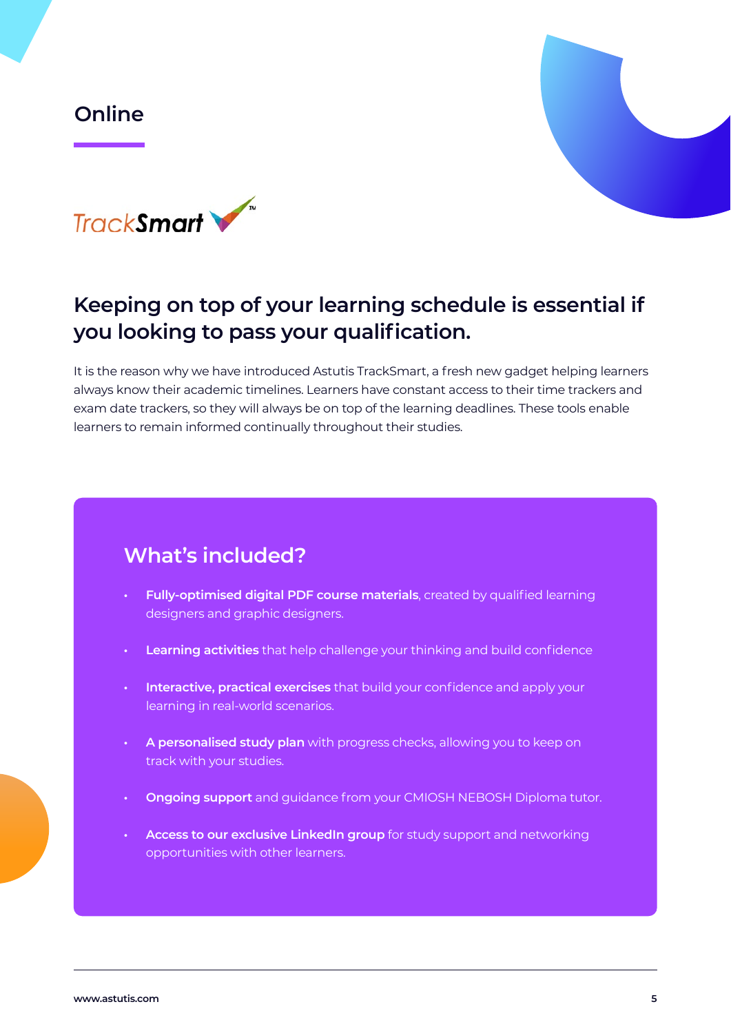#### **Online**





## **Keeping on top of your learning schedule is essential if you looking to pass your qualification.**

It is the reason why we have introduced Astutis TrackSmart, a fresh new gadget helping learners always know their academic timelines. Learners have constant access to their time trackers and exam date trackers, so they will always be on top of the learning deadlines. These tools enable learners to remain informed continually throughout their studies.

- **• Fully-optimised digital PDF course materials**, created by qualified learning designers and graphic designers.
- **• Learning activities** that help challenge your thinking and build confidence
- **• Interactive, practical exercises** that build your confidence and apply your learning in real-world scenarios.
- **• A personalised study plan** with progress checks, allowing you to keep on track with your studies.
- **• Ongoing support** and guidance from your CMIOSH NEBOSH Diploma tutor.
- **• Access to our exclusive LinkedIn group** for study support and networking opportunities with other learners.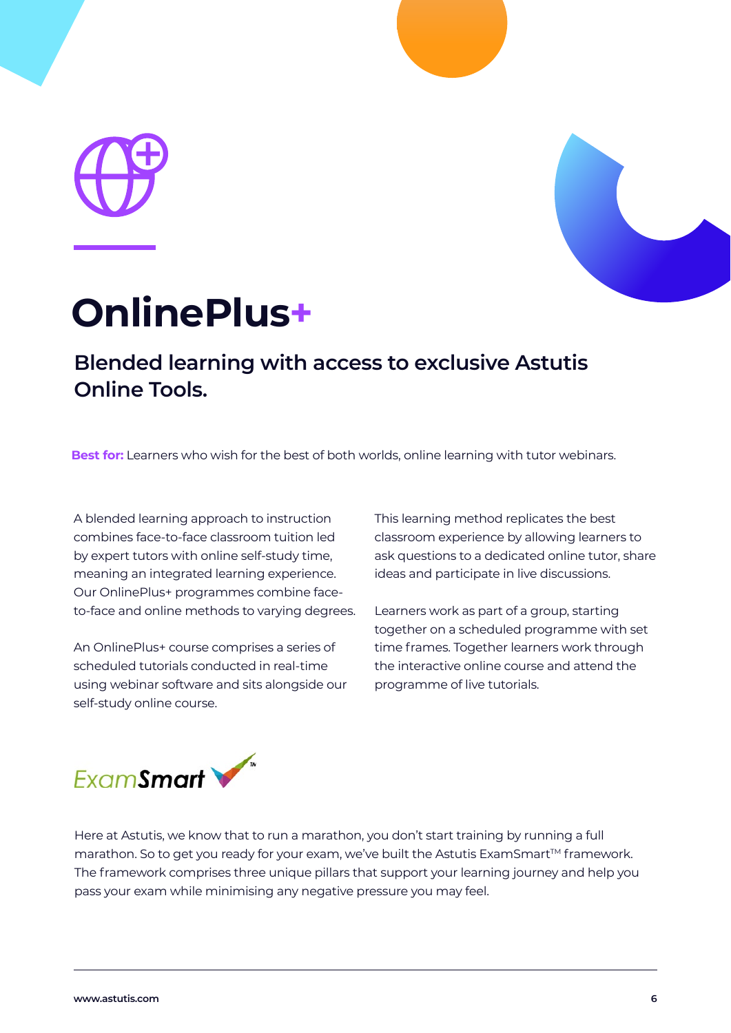



## **OnlinePlus+**

## **Blended learning with access to exclusive Astutis Online Tools.**

**Best for:** Learners who wish for the best of both worlds, online learning with tutor webinars.

A blended learning approach to instruction combines face-to-face classroom tuition led by expert tutors with online self-study time, meaning an integrated learning experience. Our OnlinePlus+ programmes combine faceto-face and online methods to varying degrees.

An OnlinePlus+ course comprises a series of scheduled tutorials conducted in real-time using webinar software and sits alongside our self-study online course.

This learning method replicates the best classroom experience by allowing learners to ask questions to a dedicated online tutor, share ideas and participate in live discussions.

Learners work as part of a group, starting together on a scheduled programme with set time frames. Together learners work through the interactive online course and attend the programme of live tutorials.



Here at Astutis, we know that to run a marathon, you don't start training by running a full marathon. So to get you ready for your exam, we've built the Astutis ExamSmart™ framework. The framework comprises three unique pillars that support your learning journey and help you pass your exam while minimising any negative pressure you may feel.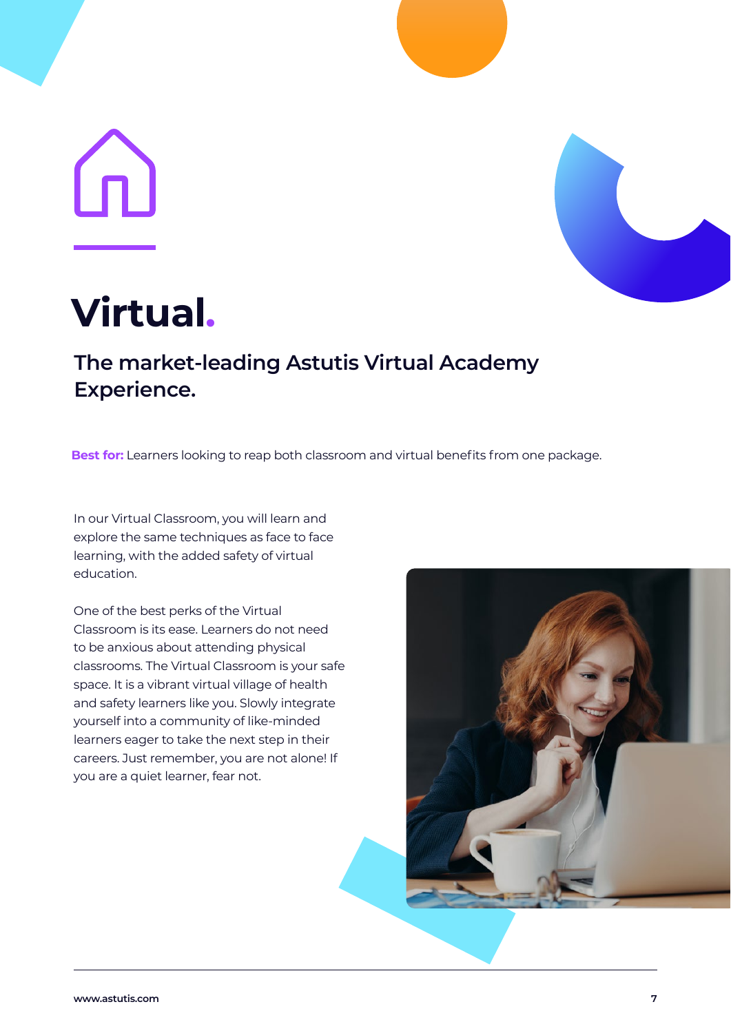# <u>(U</u>



## **Virtual.**

## **The market-leading Astutis Virtual Academy Experience.**

**Best for:** Learners looking to reap both classroom and virtual benefits from one package.

In our Virtual Classroom, you will learn and explore the same techniques as face to face learning, with the added safety of virtual education.

One of the best perks of the Virtual Classroom is its ease. Learners do not need to be anxious about attending physical classrooms. The Virtual Classroom is your safe space. It is a vibrant virtual village of health and safety learners like you. Slowly integrate yourself into a community of like-minded learners eager to take the next step in their careers. Just remember, you are not alone! If you are a quiet learner, fear not.

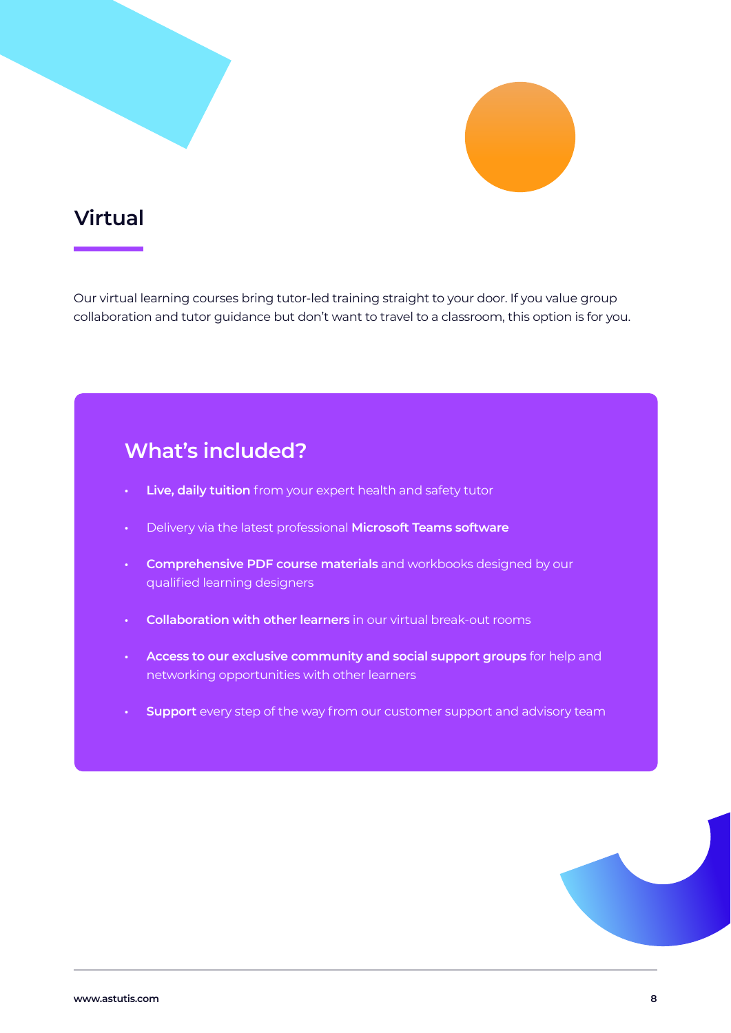## **Virtual**

Our virtual learning courses bring tutor-led training straight to your door. If you value group collaboration and tutor guidance but don't want to travel to a classroom, this option is for you.

- **• Live, daily tuition** from your expert health and safety tutor
- **•** Delivery via the latest professional **Microsoft Teams software**
- **• Comprehensive PDF course materials** and workbooks designed by our qualified learning designers
- **• Collaboration with other learners** in our virtual break-out rooms
- **• Access to our exclusive community and social support groups** for help and networking opportunities with other learners
- **• Support** every step of the way from our customer support and advisory team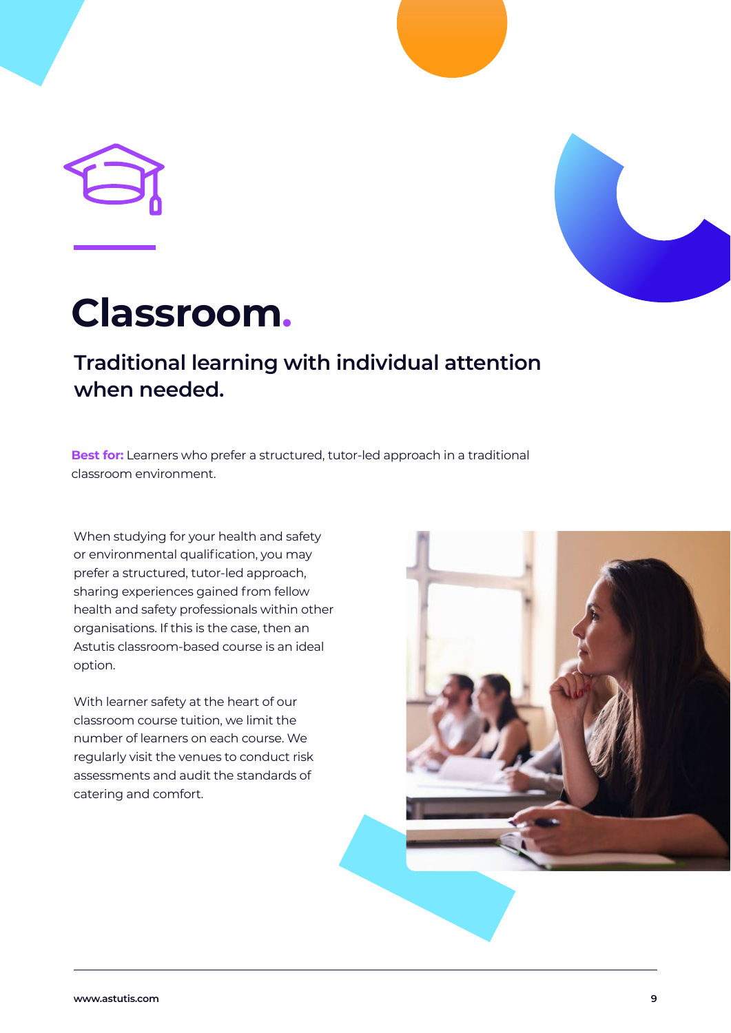



## **Classroom.**

## **Traditional learning with individual attention when needed.**

**Best for:** Learners who prefer a structured, tutor-led approach in a traditional classroom environment.

When studying for your health and safety or environmental qualification, you may prefer a structured, tutor-led approach, sharing experiences gained from fellow health and safety professionals within other organisations. If this is the case, then an Astutis classroom-based course is an ideal option.

With learner safety at the heart of our classroom course tuition, we limit the number of learners on each course. We regularly visit the venues to conduct risk assessments and audit the standards of catering and comfort.

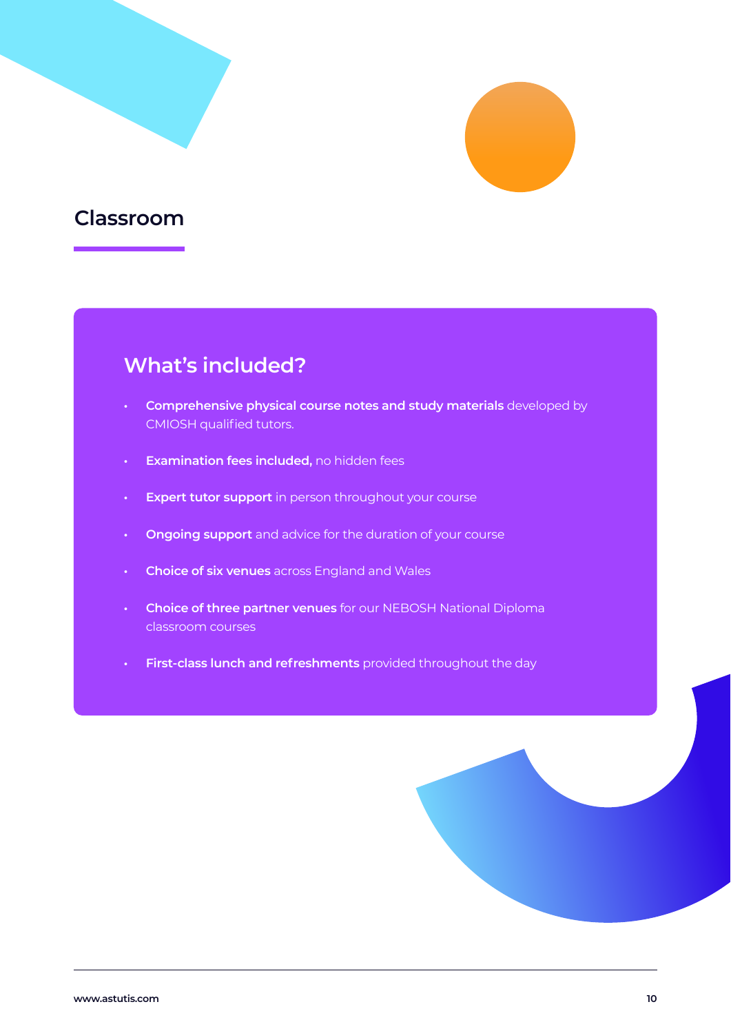

### **Classroom**

- **• Comprehensive physical course notes and study materials** developed by CMIOSH qualified tutors.
- **• Examination fees included,** no hidden fees
- **• Expert tutor support** in person throughout your course
- **• Ongoing support** and advice for the duration of your course
- **• Choice of six venues** across England and Wales
- **• Choice of three partner venues** for our NEBOSH National Diploma classroom courses
- **• First-class lunch and refreshments** provided throughout the day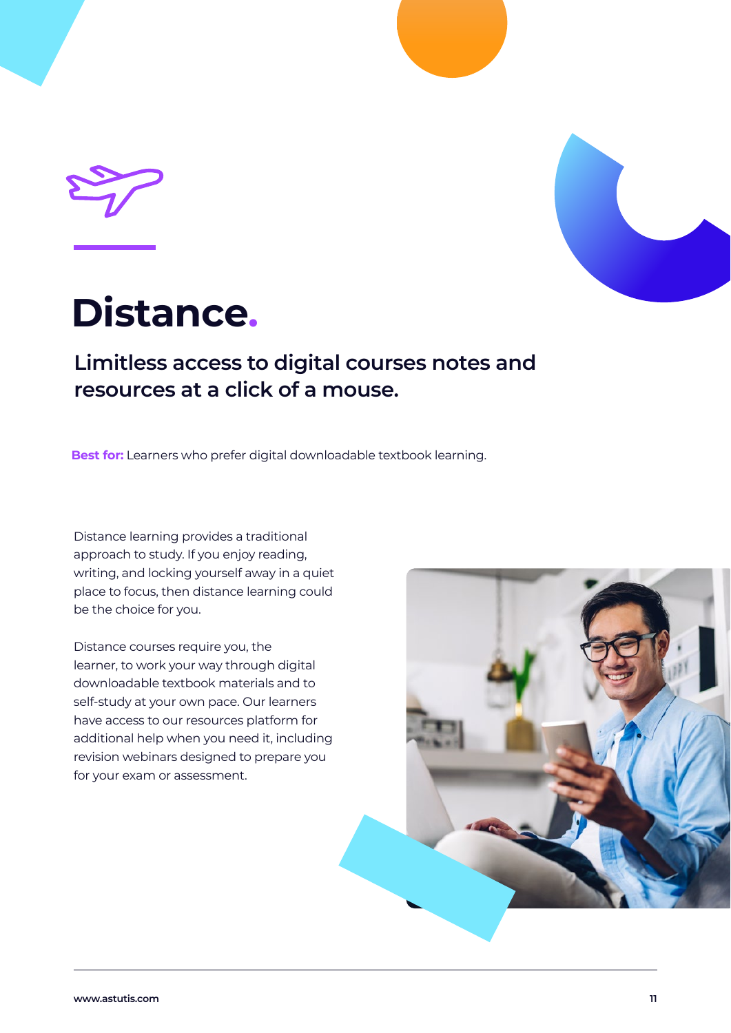



## **Distance.**

## **Limitless access to digital courses notes and resources at a click of a mouse.**

**Best for:** Learners who prefer digital downloadable textbook learning.

Distance learning provides a traditional approach to study. If you enjoy reading, writing, and locking yourself away in a quiet place to focus, then distance learning could be the choice for you.

Distance courses require you, the learner, to work your way through digital downloadable textbook materials and to self-study at your own pace. Our learners have access to our resources platform for additional help when you need it, including revision webinars designed to prepare you for your exam or assessment.

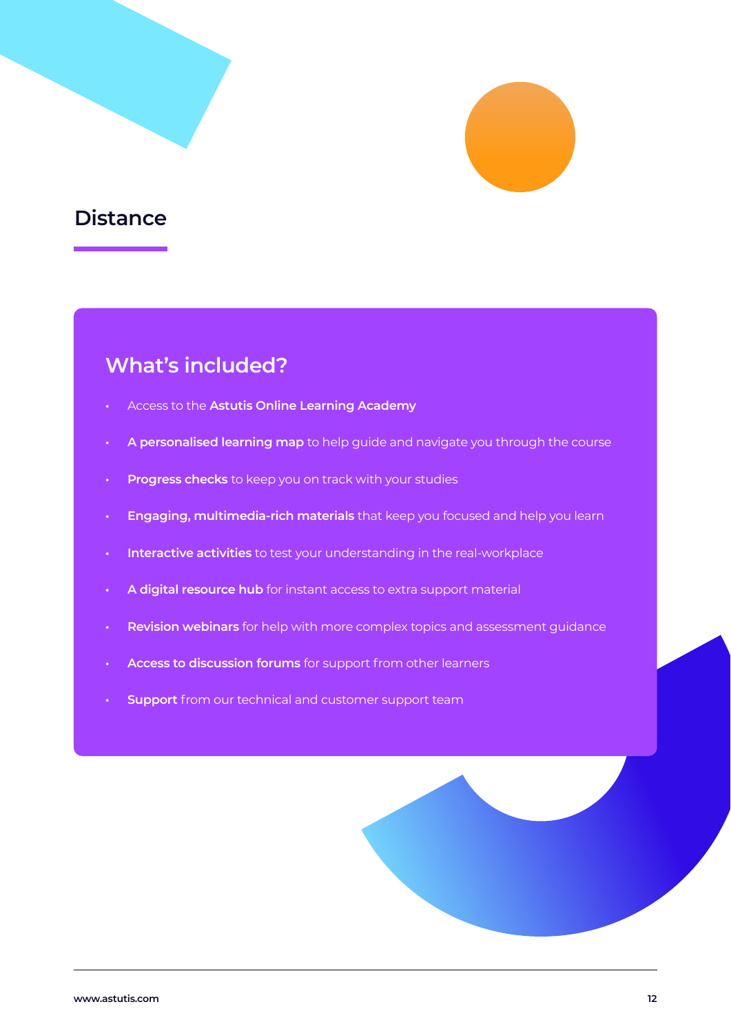

## **Distance**

- **•** Access to the **Astutis Online Learning Academy**
- **• A personalised learning map** to help guide and navigate you through the course
- **• Progress checks** to keep you on track with your studies
- **• Engaging, multimedia-rich materials** that keep you focused and help you learn
- **• Interactive activities** to test your understanding in the real-workplace
- **• A digital resource hub** for instant access to extra support material
- **• Revision webinars** for help with more complex topics and assessment guidance
- **• Access to discussion forums** for support from other learners
- **• Support** from our technical and customer support team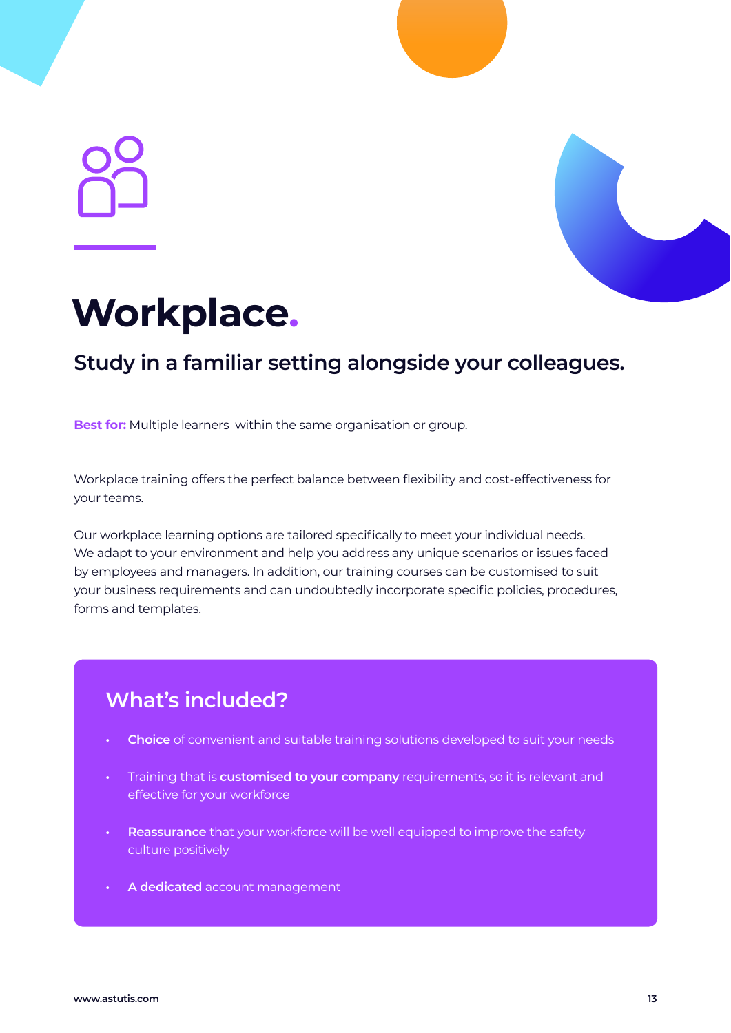

## **Workplace.**

## **Study in a familiar setting alongside your colleagues.**

**Best for:** Multiple learners within the same organisation or group.

Workplace training offers the perfect balance between flexibility and cost-effectiveness for your teams.

Our workplace learning options are tailored specifically to meet your individual needs. We adapt to your environment and help you address any unique scenarios or issues faced by employees and managers. In addition, our training courses can be customised to suit your business requirements and can undoubtedly incorporate specific policies, procedures, forms and templates.

- **• Choice** of convenient and suitable training solutions developed to suit your needs
- **•** Training that is **customised to your company** requirements, so it is relevant and effective for your workforce
- **• Reassurance** that your workforce will be well equipped to improve the safety culture positively
- **• A dedicated** account management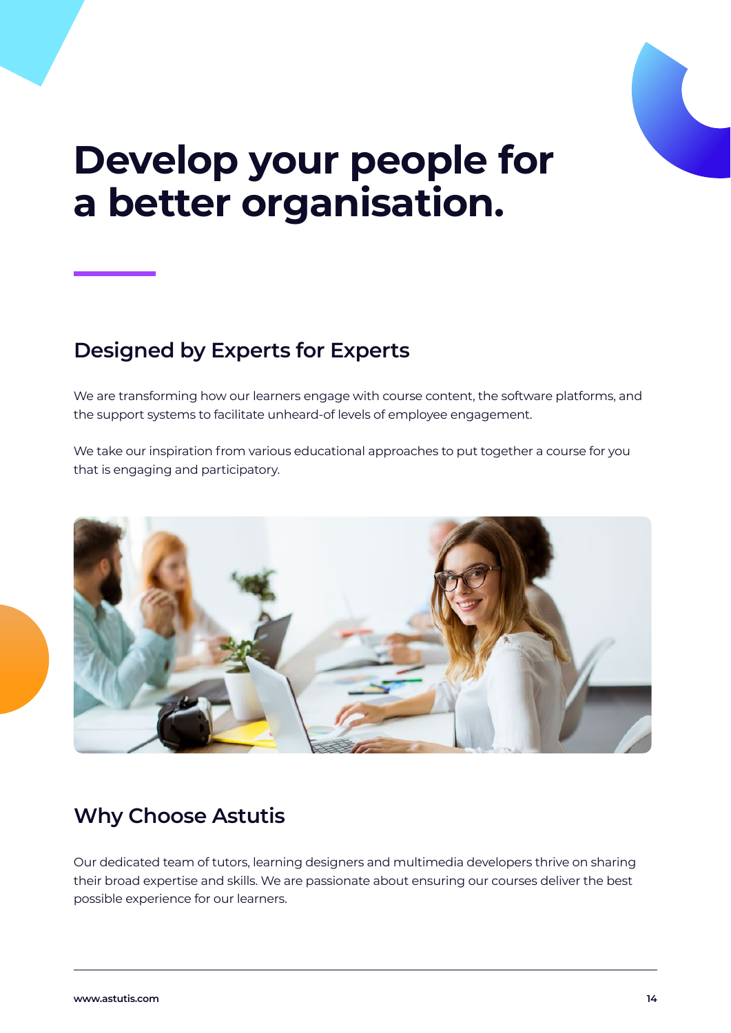

## **Develop your people for a better organisation.**

## **Designed by Experts for Experts**

We are transforming how our learners engage with course content, the software platforms, and the support systems to facilitate unheard-of levels of employee engagement.

We take our inspiration from various educational approaches to put together a course for you that is engaging and participatory.



## **Why Choose Astutis**

Our dedicated team of tutors, learning designers and multimedia developers thrive on sharing their broad expertise and skills. We are passionate about ensuring our courses deliver the best possible experience for our learners.